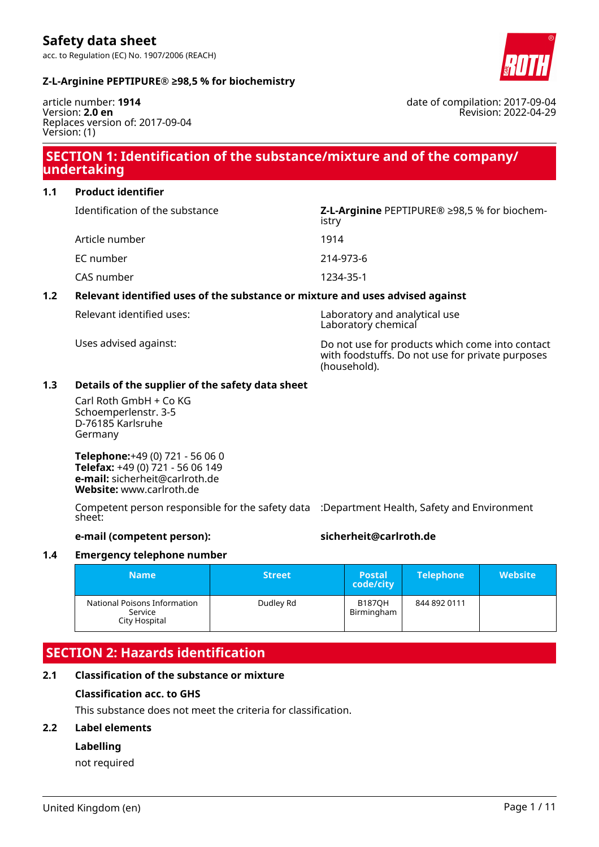date of compilation: 2017-09-04

Revision: 2022-04-29

#### **Z-L-Arginine PEPTIPURE® ≥98,5 % for biochemistry**

article number: **1914** Version: **2.0 en** Replaces version of: 2017-09-04 Version: (1)

## **SECTION 1: Identification of the substance/mixture and of the company/ undertaking**

**1.1 Product identifier**

| Identification of the substance | Z-L-Arginine PEPTIPURE <sup>®</sup> ≥98,5 % for biochem-<br>istry |
|---------------------------------|-------------------------------------------------------------------|
| Article number                  | 1914                                                              |
| EC number                       | 214-973-6                                                         |
| CAS number                      | 1234-35-1                                                         |

#### **1.2 Relevant identified uses of the substance or mixture and uses advised against**

| Relevant identified uses: | Laboratory and analytical use<br>Laboratory chemical                                                                |
|---------------------------|---------------------------------------------------------------------------------------------------------------------|
| Uses advised against:     | Do not use for products which come into contact<br>with foodstuffs. Do not use for private purposes<br>(household). |

#### **1.3 Details of the supplier of the safety data sheet**

Carl Roth GmbH + Co KG Schoemperlenstr. 3-5 D-76185 Karlsruhe Germany

**Telephone:**+49 (0) 721 - 56 06 0 **Telefax:** +49 (0) 721 - 56 06 149 **e-mail:** sicherheit@carlroth.de **Website:** www.carlroth.de

Competent person responsible for the safety data :Department Health, Safety and Environment sheet:

#### **e-mail (competent person): sicherheit@carlroth.de**

#### **1.4 Emergency telephone number**

| <b>Name</b>                                              | <b>Street</b> | <b>Postal</b><br>code/city  | <b>Telephone</b> | <b>Website</b> |
|----------------------------------------------------------|---------------|-----------------------------|------------------|----------------|
| National Poisons Information<br>Service<br>City Hospital | Dudley Rd     | <b>B187OH</b><br>Birmingham | 844 892 0111     |                |

## **SECTION 2: Hazards identification**

#### **2.1 Classification of the substance or mixture**

#### **Classification acc. to GHS**

This substance does not meet the criteria for classification.

#### **2.2 Label elements**

#### **Labelling**

not required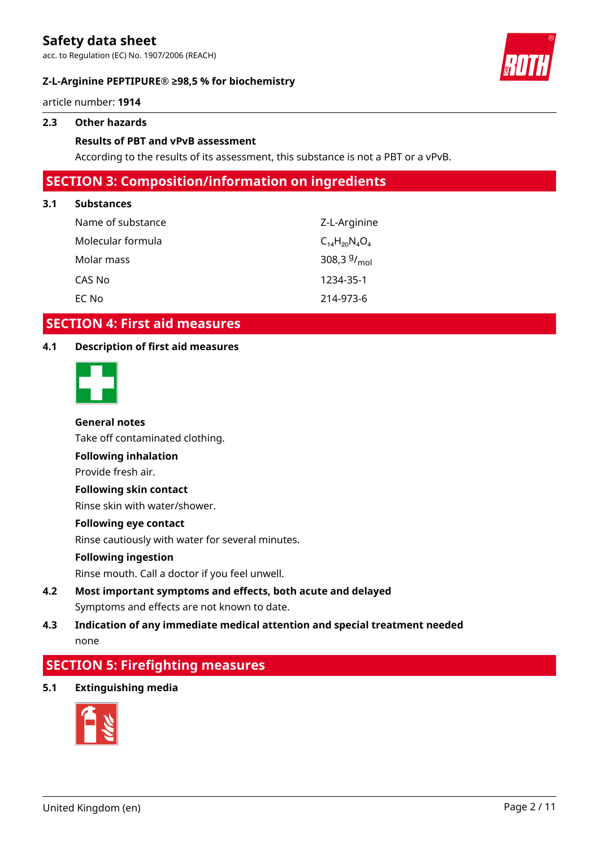acc. to Regulation (EC) No. 1907/2006 (REACH)

### **Z-L-Arginine PEPTIPURE® ≥98,5 % for biochemistry**



article number: **1914**

#### **2.3 Other hazards**

#### **Results of PBT and vPvB assessment**

According to the results of its assessment, this substance is not a PBT or a vPvB.

### **SECTION 3: Composition/information on ingredients**

#### **3.1 Substances**

| Name of substance | Z-L-Arginine             |
|-------------------|--------------------------|
| Molecular formula | $C_{14}H_{20}N_{4}O_{4}$ |
| Molar mass        | 308,3 $9/_{mol}$         |
| CAS No            | 1234-35-1                |
| EC No             | 214-973-6                |

### **SECTION 4: First aid measures**

#### **4.1 Description of first aid measures**



#### **General notes**

Take off contaminated clothing.

**Following inhalation**

Provide fresh air.

#### **Following skin contact**

Rinse skin with water/shower.

#### **Following eye contact**

Rinse cautiously with water for several minutes.

#### **Following ingestion**

Rinse mouth. Call a doctor if you feel unwell.

## **4.2 Most important symptoms and effects, both acute and delayed** Symptoms and effects are not known to date.

### **4.3 Indication of any immediate medical attention and special treatment needed** none

## **SECTION 5: Firefighting measures**

**5.1 Extinguishing media**

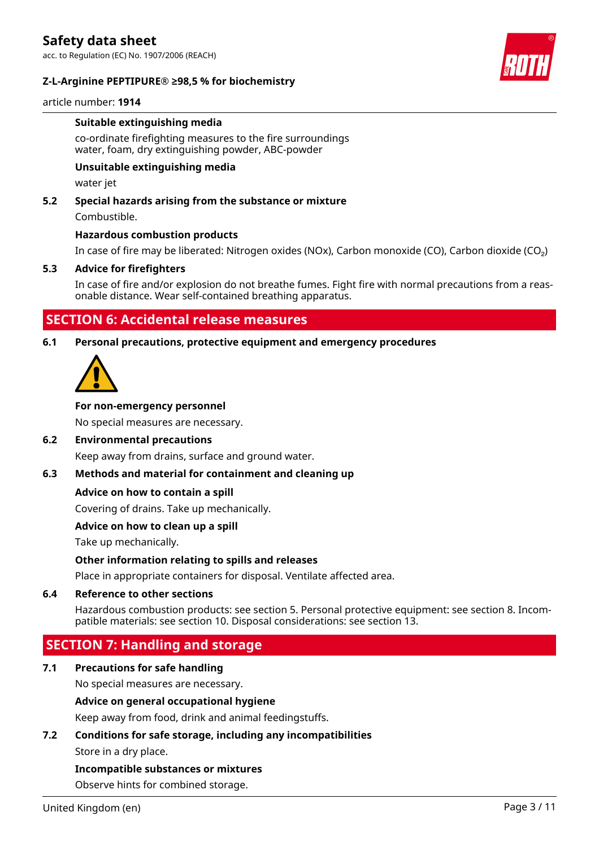acc. to Regulation (EC) No. 1907/2006 (REACH)

#### **Z-L-Arginine PEPTIPURE® ≥98,5 % for biochemistry**



article number: **1914**

#### **Suitable extinguishing media**

co-ordinate firefighting measures to the fire surroundings water, foam, dry extinguishing powder, ABC-powder

#### **Unsuitable extinguishing media**

water jet

#### **5.2 Special hazards arising from the substance or mixture**

Combustible.

#### **Hazardous combustion products**

In case of fire may be liberated: Nitrogen oxides (NOx), Carbon monoxide (CO), Carbon dioxide (CO₂)

#### **5.3 Advice for firefighters**

In case of fire and/or explosion do not breathe fumes. Fight fire with normal precautions from a reasonable distance. Wear self-contained breathing apparatus.

### **SECTION 6: Accidental release measures**

#### **6.1 Personal precautions, protective equipment and emergency procedures**



#### **For non-emergency personnel**

No special measures are necessary.

#### **6.2 Environmental precautions**

Keep away from drains, surface and ground water.

#### **6.3 Methods and material for containment and cleaning up**

#### **Advice on how to contain a spill**

Covering of drains. Take up mechanically.

#### **Advice on how to clean up a spill**

Take up mechanically.

#### **Other information relating to spills and releases**

Place in appropriate containers for disposal. Ventilate affected area.

#### **6.4 Reference to other sections**

Hazardous combustion products: see section 5. Personal protective equipment: see section 8. Incompatible materials: see section 10. Disposal considerations: see section 13.

## **SECTION 7: Handling and storage**

#### **7.1 Precautions for safe handling**

No special measures are necessary.

#### **Advice on general occupational hygiene**

Keep away from food, drink and animal feedingstuffs.

## **7.2 Conditions for safe storage, including any incompatibilities**

Store in a dry place.

#### **Incompatible substances or mixtures**

Observe hints for combined storage.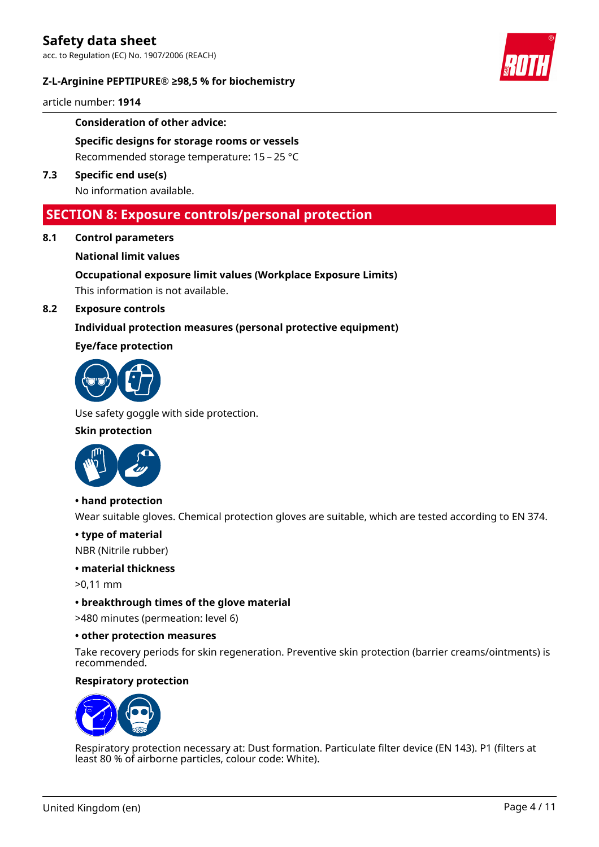acc. to Regulation (EC) No. 1907/2006 (REACH)

#### **Z-L-Arginine PEPTIPURE® ≥98,5 % for biochemistry**



article number: **1914**

#### **Consideration of other advice:**

**Specific designs for storage rooms or vessels** Recommended storage temperature: 15 – 25 °C

**7.3 Specific end use(s)** No information available.

## **SECTION 8: Exposure controls/personal protection**

**8.1 Control parameters**

#### **National limit values**

**Occupational exposure limit values (Workplace Exposure Limits)**

This information is not available.

#### **8.2 Exposure controls**

#### **Individual protection measures (personal protective equipment)**

#### **Eye/face protection**



Use safety goggle with side protection.

#### **Skin protection**



**• hand protection**

Wear suitable gloves. Chemical protection gloves are suitable, which are tested according to EN 374.

#### **• type of material**

NBR (Nitrile rubber)

#### **• material thickness**

>0,11 mm

#### **• breakthrough times of the glove material**

>480 minutes (permeation: level 6)

#### **• other protection measures**

Take recovery periods for skin regeneration. Preventive skin protection (barrier creams/ointments) is recommended.

#### **Respiratory protection**



Respiratory protection necessary at: Dust formation. Particulate filter device (EN 143). P1 (filters at least 80 % of airborne particles, colour code: White).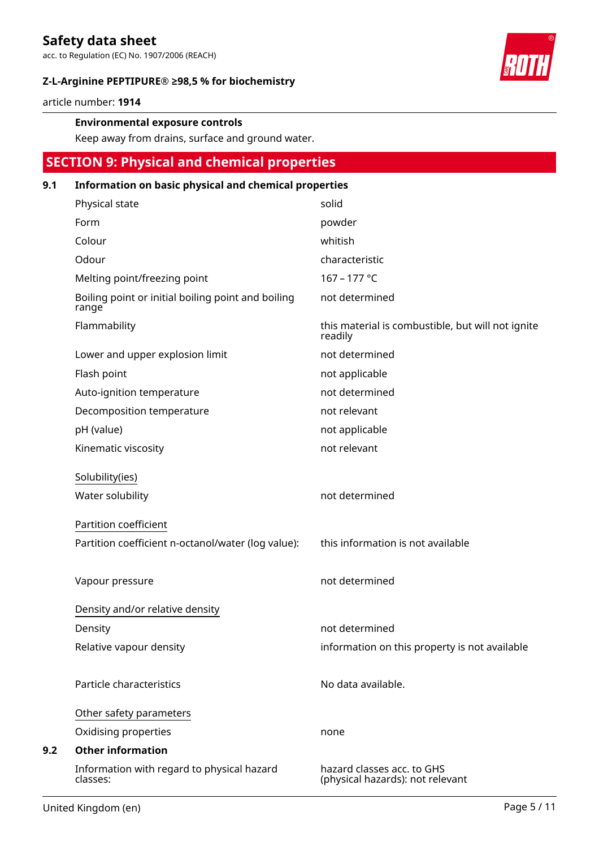acc. to Regulation (EC) No. 1907/2006 (REACH)

#### **Z-L-Arginine PEPTIPURE® ≥98,5 % for biochemistry**



article number: **1914**

#### **Environmental exposure controls**

Keep away from drains, surface and ground water.

## **SECTION 9: Physical and chemical properties**

#### **9.1 Information on basic physical and chemical properties**

| Physical state                                              | solid                                                          |
|-------------------------------------------------------------|----------------------------------------------------------------|
| Form                                                        | powder                                                         |
| Colour                                                      | whitish                                                        |
| Odour                                                       | characteristic                                                 |
| Melting point/freezing point                                | 167 - 177 °C                                                   |
| Boiling point or initial boiling point and boiling<br>range | not determined                                                 |
| Flammability                                                | this material is combustible, but will not ignite<br>readily   |
| Lower and upper explosion limit                             | not determined                                                 |
| Flash point                                                 | not applicable                                                 |
| Auto-ignition temperature                                   | not determined                                                 |
| Decomposition temperature                                   | not relevant                                                   |
| pH (value)                                                  | not applicable                                                 |
| Kinematic viscosity                                         | not relevant                                                   |
| Solubility(ies)                                             |                                                                |
| Water solubility                                            | not determined                                                 |
| Partition coefficient                                       |                                                                |
| Partition coefficient n-octanol/water (log value):          | this information is not available                              |
| Vapour pressure                                             | not determined                                                 |
|                                                             |                                                                |
| Density and/or relative density                             |                                                                |
| Density                                                     | not determined                                                 |
| Relative vapour density                                     | information on this property is not available                  |
|                                                             |                                                                |
| Particle characteristics                                    | No data available.                                             |
| Other safety parameters                                     |                                                                |
| Oxidising properties                                        | none                                                           |
| <b>Other information</b>                                    |                                                                |
| Information with regard to physical hazard<br>classes:      | hazard classes acc. to GHS<br>(physical hazards): not relevant |

**9.2**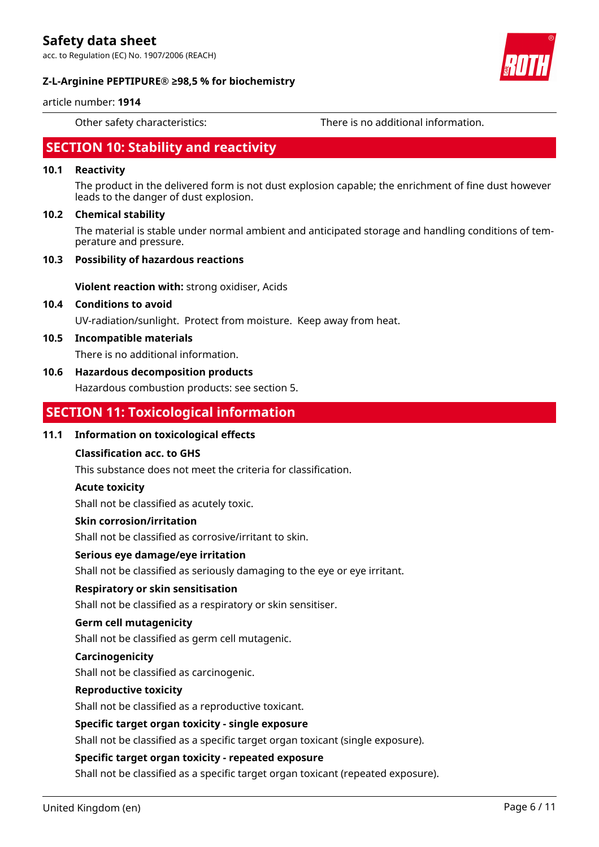acc. to Regulation (EC) No. 1907/2006 (REACH)

#### **Z-L-Arginine PEPTIPURE® ≥98,5 % for biochemistry**

article number: **1914**

Other safety characteristics: There is no additional information.

## **SECTION 10: Stability and reactivity**

#### **10.1 Reactivity**

The product in the delivered form is not dust explosion capable; the enrichment of fine dust however leads to the danger of dust explosion.

#### **10.2 Chemical stability**

The material is stable under normal ambient and anticipated storage and handling conditions of temperature and pressure.

#### **10.3 Possibility of hazardous reactions**

**Violent reaction with:** strong oxidiser, Acids

#### **10.4 Conditions to avoid**

UV-radiation/sunlight. Protect from moisture. Keep away from heat.

#### **10.5 Incompatible materials**

There is no additional information.

#### **10.6 Hazardous decomposition products**

Hazardous combustion products: see section 5.

### **SECTION 11: Toxicological information**

#### **11.1 Information on toxicological effects**

#### **Classification acc. to GHS**

This substance does not meet the criteria for classification.

#### **Acute toxicity**

Shall not be classified as acutely toxic.

#### **Skin corrosion/irritation**

Shall not be classified as corrosive/irritant to skin.

#### **Serious eye damage/eye irritation**

Shall not be classified as seriously damaging to the eye or eye irritant.

#### **Respiratory or skin sensitisation**

Shall not be classified as a respiratory or skin sensitiser.

#### **Germ cell mutagenicity**

Shall not be classified as germ cell mutagenic.

#### **Carcinogenicity**

Shall not be classified as carcinogenic.

#### **Reproductive toxicity**

Shall not be classified as a reproductive toxicant.

#### **Specific target organ toxicity - single exposure**

Shall not be classified as a specific target organ toxicant (single exposure).

#### **Specific target organ toxicity - repeated exposure**

Shall not be classified as a specific target organ toxicant (repeated exposure).

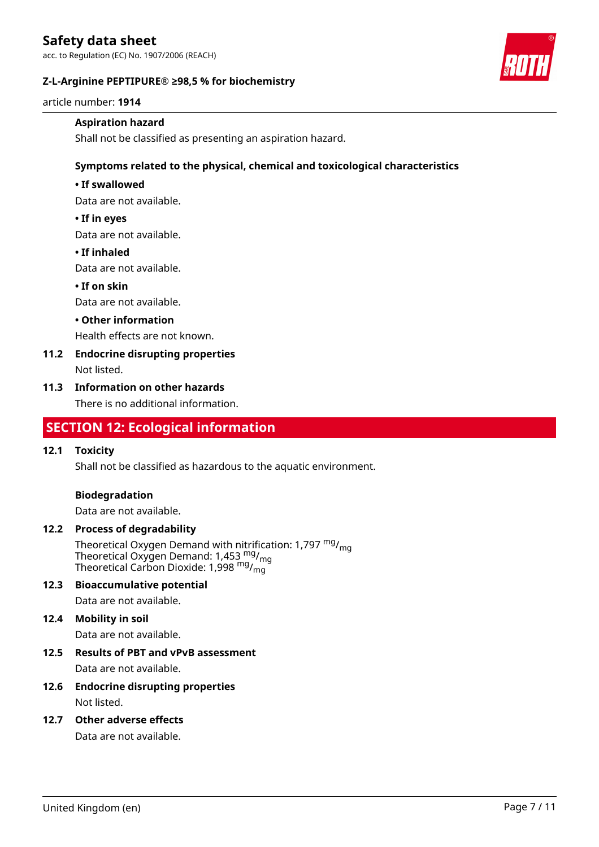acc. to Regulation (EC) No. 1907/2006 (REACH)

#### **Z-L-Arginine PEPTIPURE® ≥98,5 % for biochemistry**



article number: **1914**

#### **Aspiration hazard**

Shall not be classified as presenting an aspiration hazard.

#### **Symptoms related to the physical, chemical and toxicological characteristics**

#### **• If swallowed**

Data are not available.

#### **• If in eyes**

Data are not available.

#### **• If inhaled**

Data are not available.

#### **• If on skin**

Data are not available.

#### **• Other information**

Health effects are not known.

### **11.2 Endocrine disrupting properties**

Not listed.

#### **11.3 Information on other hazards**

There is no additional information.

## **SECTION 12: Ecological information**

#### **12.1 Toxicity**

Shall not be classified as hazardous to the aquatic environment.

#### **Biodegradation**

Data are not available.

#### **12.2 Process of degradability**

Theoretical Oxygen Demand with nitrification: 1,797 <sup>mg</sup>/<sub>mg</sub> Theoretical Oxygen Demand: 1,453  $_{\text{mg}}^{\text{mg}}$ /<sub>mg</sub> Theoretical Carbon Dioxide: 1,998<sup> mg</sup>/<sub>mg</sub>

#### **12.3 Bioaccumulative potential**

Data are not available.

#### **12.4 Mobility in soil**

Data are not available.

# **12.5 Results of PBT and vPvB assessment**

Data are not available.

#### **12.6 Endocrine disrupting properties** Not listed.

## **12.7 Other adverse effects**

Data are not available.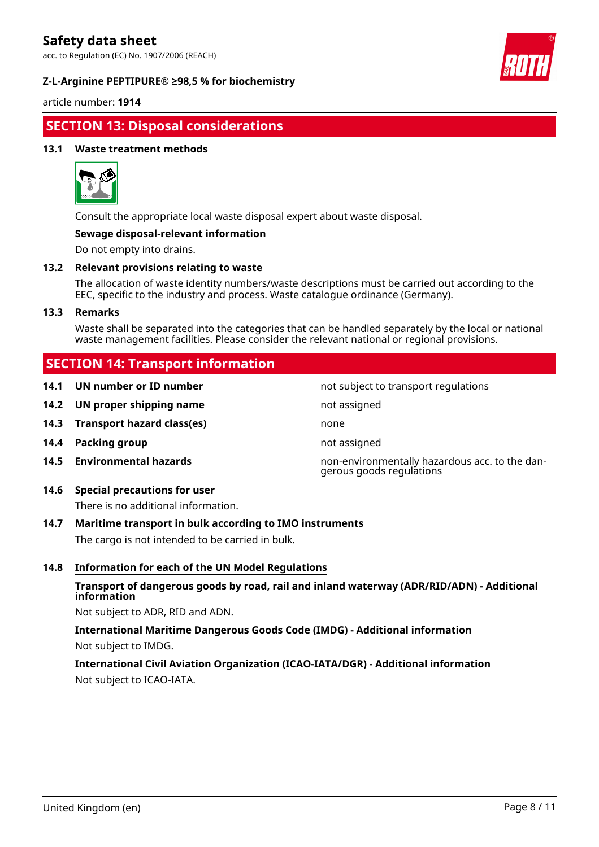acc. to Regulation (EC) No. 1907/2006 (REACH)

#### **Z-L-Arginine PEPTIPURE® ≥98,5 % for biochemistry**



article number: **1914**

## **SECTION 13: Disposal considerations**

#### **13.1 Waste treatment methods**



Consult the appropriate local waste disposal expert about waste disposal.

#### **Sewage disposal-relevant information**

Do not empty into drains.

#### **13.2 Relevant provisions relating to waste**

The allocation of waste identity numbers/waste descriptions must be carried out according to the EEC, specific to the industry and process. Waste catalogue ordinance (Germany).

#### **13.3 Remarks**

Waste shall be separated into the categories that can be handled separately by the local or national waste management facilities. Please consider the relevant national or regional provisions.

not subject to transport regulations

gerous goods regulations

## **SECTION 14: Transport information**

| 14.1 | UN number or ID number |  |  |
|------|------------------------|--|--|
|------|------------------------|--|--|

- **14.2 UN proper shipping name** not assigned
- **14.3 Transport hazard class(es)** none
- **14.4 Packing group not assigned**
- **14.5 Environmental hazards** non-environmentally hazardous acc. to the dan-

### **14.6 Special precautions for user**

There is no additional information.

#### **14.7 Maritime transport in bulk according to IMO instruments**

The cargo is not intended to be carried in bulk.

#### **14.8 Information for each of the UN Model Regulations**

#### **Transport of dangerous goods by road, rail and inland waterway (ADR/RID/ADN) - Additional information**

Not subject to ADR, RID and ADN.

## **International Maritime Dangerous Goods Code (IMDG) - Additional information** Not subject to IMDG.

### **International Civil Aviation Organization (ICAO-IATA/DGR) - Additional information** Not subject to ICAO-IATA.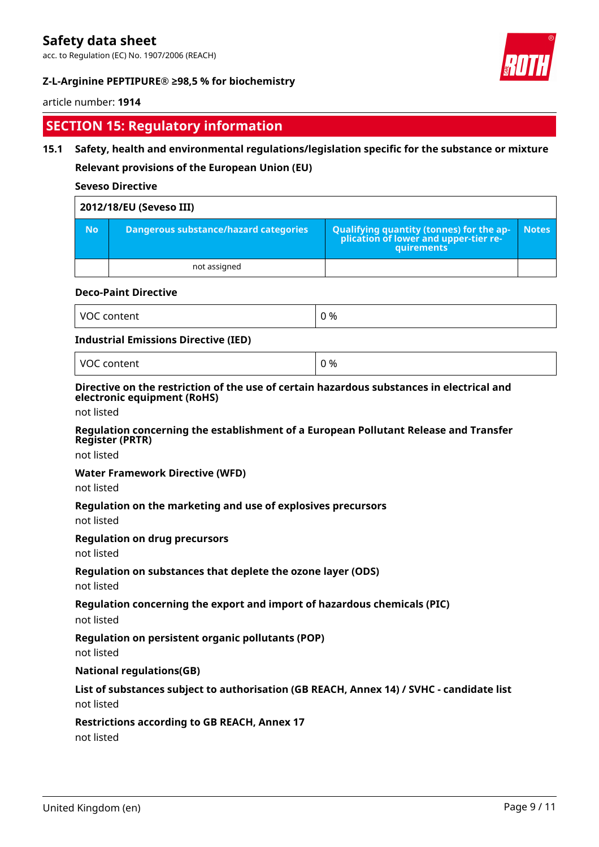acc. to Regulation (EC) No. 1907/2006 (REACH)

### **Z-L-Arginine PEPTIPURE® ≥98,5 % for biochemistry**



#### article number: **1914**

## **SECTION 15: Regulatory information**

#### **15.1 Safety, health and environmental regulations/legislation specific for the substance or mixture**

**Relevant provisions of the European Union (EU)**

#### **Seveso Directive**

|           | 2012/18/EU (Seveso III)               |                                                                                            |              |
|-----------|---------------------------------------|--------------------------------------------------------------------------------------------|--------------|
| <b>No</b> | Dangerous substance/hazard categories | Qualifying quantity (tonnes) for the application of lower and upper-tier re-<br>quirements | <b>Notes</b> |
|           | not assigned                          |                                                                                            |              |

#### **Deco-Paint Directive**

| VO<br>$- - - - - - -$<br><br>tent | 0 % |
|-----------------------------------|-----|
|-----------------------------------|-----|

#### **Industrial Emissions Directive (IED)**

VOC content  $\begin{array}{ccc} \vert & 0 \end{array}$ 

#### **Directive on the restriction of the use of certain hazardous substances in electrical and electronic equipment (RoHS)**

not listed

#### **Regulation concerning the establishment of a European Pollutant Release and Transfer Register (PRTR)**

not listed

#### **Water Framework Directive (WFD)**

not listed

#### **Regulation on the marketing and use of explosives precursors**

not listed

#### **Regulation on drug precursors**

not listed

#### **Regulation on substances that deplete the ozone layer (ODS)**

not listed

#### **Regulation concerning the export and import of hazardous chemicals (PIC)**

not listed

#### **Regulation on persistent organic pollutants (POP)**

not listed

#### **National regulations(GB)**

## **List of substances subject to authorisation (GB REACH, Annex 14) / SVHC - candidate list**

not listed

#### **Restrictions according to GB REACH, Annex 17**

not listed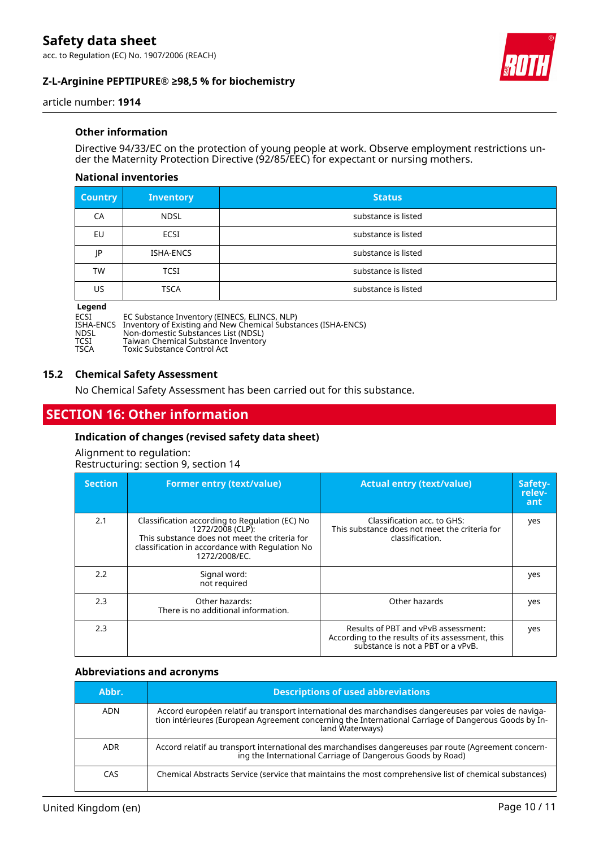acc. to Regulation (EC) No. 1907/2006 (REACH)

### **Z-L-Arginine PEPTIPURE® ≥98,5 % for biochemistry**



article number: **1914**

#### **Other information**

Directive 94/33/EC on the protection of young people at work. Observe employment restrictions under the Maternity Protection Directive (92/85/EEC) for expectant or nursing mothers.

#### **National inventories**

| <b>Country</b> | <b>Inventory</b> | <b>Status</b>       |
|----------------|------------------|---------------------|
| CA             | <b>NDSL</b>      | substance is listed |
| EU             | ECSI             | substance is listed |
| IP             | ISHA-ENCS        | substance is listed |
| <b>TW</b>      | <b>TCSI</b>      | substance is listed |
| US             | <b>TSCA</b>      | substance is listed |

#### **Legend**

| ECSI        | EC Substance Inventory (EINECS, ELINCS, NLP)                            |
|-------------|-------------------------------------------------------------------------|
|             | ISHA-ENCS Inventory of Existing and New Chemical Substances (ISHA-ENCS) |
| <b>NDSL</b> | Non-domestic Substances List (NDSL)                                     |
| <b>TCSI</b> | Taiwan Chemical Substance Inventory                                     |
| <b>TSCA</b> | Toxic Substance Control Act                                             |

Toxic Substance Control Act

#### **15.2 Chemical Safety Assessment**

No Chemical Safety Assessment has been carried out for this substance.

## **SECTION 16: Other information**

#### **Indication of changes (revised safety data sheet)**

Alignment to regulation: Restructuring: section 9, section 14

| <b>Section</b> | <b>Former entry (text/value)</b>                                                                                                                                                        | <b>Actual entry (text/value)</b>                                                                                             | Safety-<br>relev-<br>ant |
|----------------|-----------------------------------------------------------------------------------------------------------------------------------------------------------------------------------------|------------------------------------------------------------------------------------------------------------------------------|--------------------------|
| 2.1            | Classification according to Regulation (EC) No<br>1272/2008 (CLP):<br>This substance does not meet the criteria for<br>classification in accordance with Regulation No<br>1272/2008/EC. | Classification acc. to GHS:<br>This substance does not meet the criteria for<br>classification.                              | yes                      |
| 2.2            | Signal word:<br>not required                                                                                                                                                            |                                                                                                                              | yes                      |
| 2.3            | Other hazards:<br>There is no additional information.                                                                                                                                   | Other hazards                                                                                                                | yes                      |
| 2.3            |                                                                                                                                                                                         | Results of PBT and vPvB assessment:<br>According to the results of its assessment, this<br>substance is not a PBT or a vPvB. | yes                      |

#### **Abbreviations and acronyms**

| Abbr.      | <b>Descriptions of used abbreviations</b>                                                                                                                                                                                       |
|------------|---------------------------------------------------------------------------------------------------------------------------------------------------------------------------------------------------------------------------------|
| <b>ADN</b> | Accord européen relatif au transport international des marchandises dangereuses par voies de naviga-<br>tion intérieures (European Agreement concerning the International Carriage of Dangerous Goods by In-<br>land Waterways) |
| <b>ADR</b> | Accord relatif au transport international des marchandises dangereuses par route (Agreement concern-<br>ing the International Carriage of Dangerous Goods by Road)                                                              |
| CAS        | Chemical Abstracts Service (service that maintains the most comprehensive list of chemical substances)                                                                                                                          |